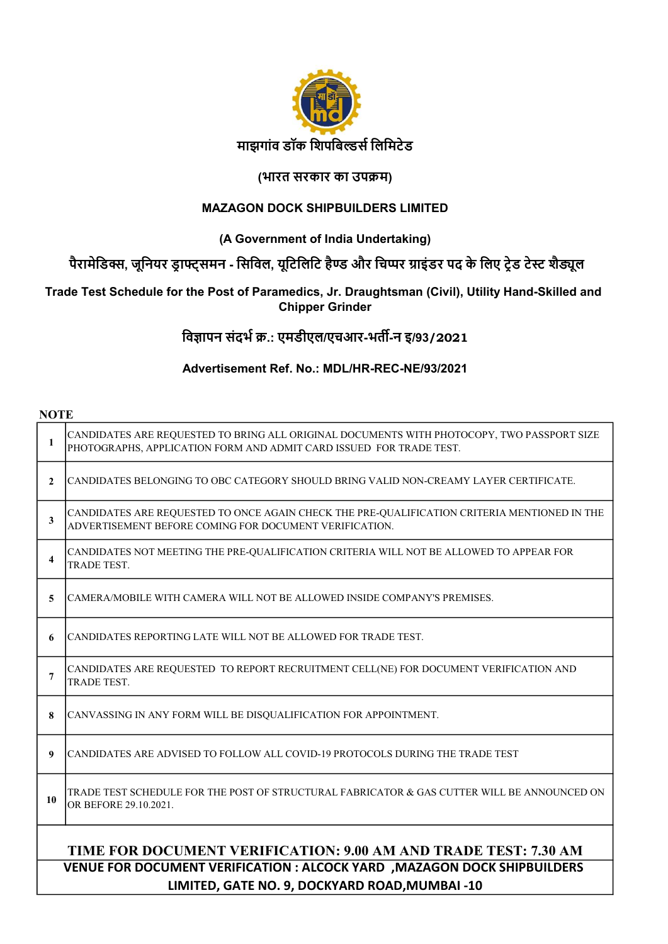

#### (भारत सरकार का उपक्रम)

#### MAZAGON DOCK SHIPBUILDERS LIMITED

### (A Government of India Undertaking)

# पैरामेडिक्स, जूनियर ड्राफ्ट्समन - सिविल, यूटिलिटि हैण्ड और चिप्पर ग्राइंडर पद के लिए ट्रेड टेस्ट शैड्यूल

#### Trade Test Schedule for the Post of Paramedics, Jr. Draughtsman (Civil), Utility Hand-Skilled and Chipper Grinder

## विज्ञापन संदर्भ क्र.: एमडीएल/एचआर-भर्ती-न इ/93/2021

### Advertisement Ref. No.: MDL/HR-REC-NE/93/2021

#### **NOTE**

| 1                                                               | CANDIDATES ARE REQUESTED TO BRING ALL ORIGINAL DOCUMENTS WITH PHOTOCOPY, TWO PASSPORT SIZE<br>PHOTOGRAPHS, APPLICATION FORM AND ADMIT CARD ISSUED FOR TRADE TEST. |  |  |  |  |
|-----------------------------------------------------------------|-------------------------------------------------------------------------------------------------------------------------------------------------------------------|--|--|--|--|
| $\mathbf{2}$                                                    | CANDIDATES BELONGING TO OBC CATEGORY SHOULD BRING VALID NON-CREAMY LAYER CERTIFICATE.                                                                             |  |  |  |  |
| 3                                                               | CANDIDATES ARE REQUESTED TO ONCE AGAIN CHECK THE PRE-QUALIFICATION CRITERIA MENTIONED IN THE<br>ADVERTISEMENT BEFORE COMING FOR DOCUMENT VERIFICATION.            |  |  |  |  |
| $\overline{\bf{4}}$                                             | CANDIDATES NOT MEETING THE PRE-QUALIFICATION CRITERIA WILL NOT BE ALLOWED TO APPEAR FOR<br>TRADE TEST.                                                            |  |  |  |  |
| 5                                                               | CAMERA/MOBILE WITH CAMERA WILL NOT BE ALLOWED INSIDE COMPANY'S PREMISES.                                                                                          |  |  |  |  |
| 6                                                               | CANDIDATES REPORTING LATE WILL NOT BE ALLOWED FOR TRADE TEST.                                                                                                     |  |  |  |  |
| 7                                                               | CANDIDATES ARE REQUESTED TO REPORT RECRUITMENT CELL(NE) FOR DOCUMENT VERIFICATION AND<br><b>TRADE TEST.</b>                                                       |  |  |  |  |
| 8                                                               | CANVASSING IN ANY FORM WILL BE DISQUALIFICATION FOR APPOINTMENT.                                                                                                  |  |  |  |  |
| 9                                                               | CANDIDATES ARE ADVISED TO FOLLOW ALL COVID-19 PROTOCOLS DURING THE TRADE TEST                                                                                     |  |  |  |  |
| 10                                                              | TRADE TEST SCHEDULE FOR THE POST OF STRUCTURAL FABRICATOR & GAS CUTTER WILL BE ANNOUNCED ON<br>OR BEFORE 29.10.2021.                                              |  |  |  |  |
| TIME FOR DOCUMENT VERIFICATION: 9.00 AM AND TRADE TEST: 7.30 AM |                                                                                                                                                                   |  |  |  |  |
|                                                                 | <b>VENUE FOR DOCUMENT VERIFICATION : ALCOCK YARD , MAZAGON DOCK SHIPBUILDERS</b>                                                                                  |  |  |  |  |
|                                                                 | LIMITED, GATE NO. 9, DOCKYARD ROAD, MUMBAI -10                                                                                                                    |  |  |  |  |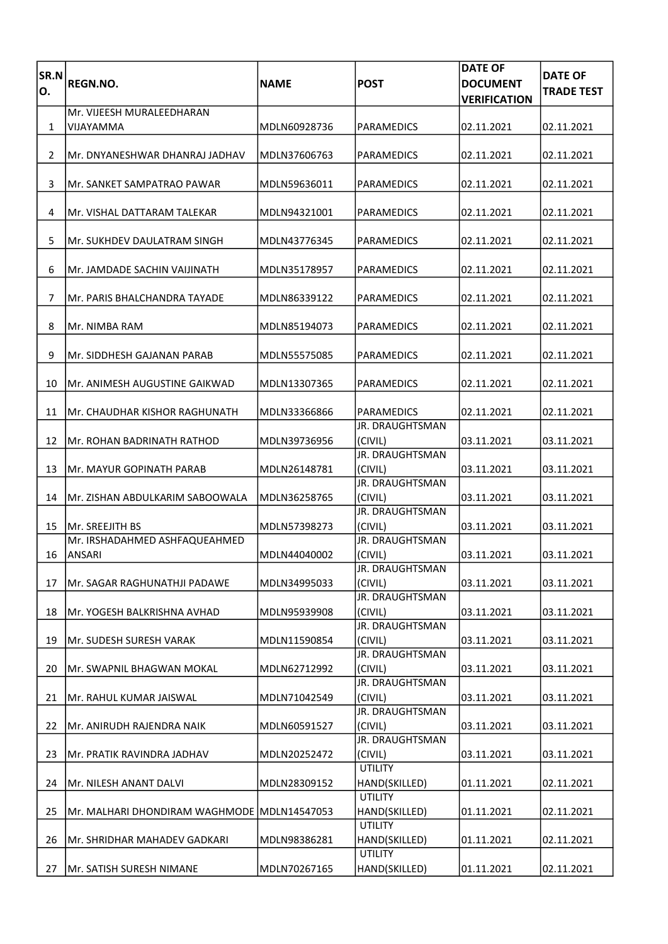| SR.N<br>ΙО.    | <b>REGN.NO.</b>                                  | <b>NAME</b>  | <b>POST</b>                          | <b>DATE OF</b><br><b>DOCUMENT</b><br><b>VERIFICATION</b> | <b>DATE OF</b><br><b>TRADE TEST</b> |
|----------------|--------------------------------------------------|--------------|--------------------------------------|----------------------------------------------------------|-------------------------------------|
| 1              | Mr. VIJEESH MURALEEDHARAN<br>VIJAYAMMA           | MDLN60928736 | <b>PARAMEDICS</b>                    | 02.11.2021                                               | 02.11.2021                          |
| $\overline{2}$ | Mr. DNYANESHWAR DHANRAJ JADHAV                   | MDLN37606763 | <b>PARAMEDICS</b>                    | 02.11.2021                                               | 02.11.2021                          |
| 3              | Mr. SANKET SAMPATRAO PAWAR                       | MDLN59636011 | <b>PARAMEDICS</b>                    | 02.11.2021                                               | 02.11.2021                          |
| 4              | lMr. VISHAL DATTARAM TALEKAR                     | MDLN94321001 | <b>PARAMEDICS</b>                    | 02.11.2021                                               | 02.11.2021                          |
| 5              | Mr. SUKHDEV DAULATRAM SINGH                      | MDLN43776345 | <b>PARAMEDICS</b>                    | 02.11.2021                                               | 02.11.2021                          |
| 6              | lMr. JAMDADE SACHIN VAIJINATH                    | MDLN35178957 | <b>PARAMEDICS</b>                    | 02.11.2021                                               | 02.11.2021                          |
| 7              | Mr. PARIS BHALCHANDRA TAYADE                     | MDLN86339122 | <b>PARAMEDICS</b>                    | 02.11.2021                                               | 02.11.2021                          |
| 8              | Mr. NIMBA RAM                                    | MDLN85194073 | <b>PARAMEDICS</b>                    | 02.11.2021                                               | 02.11.2021                          |
| 9              | lMr. SIDDHESH GAJANAN PARAB                      | MDLN55575085 | <b>PARAMEDICS</b>                    | 02.11.2021                                               | 02.11.2021                          |
| 10             | lMr. ANIMESH AUGUSTINE GAIKWAD                   | MDLN13307365 | <b>PARAMEDICS</b>                    | 02.11.2021                                               | 02.11.2021                          |
| 11             | lMr. CHAUDHAR KISHOR RAGHUNATH                   | MDLN33366866 | <b>PARAMEDICS</b><br>JR. DRAUGHTSMAN | 02.11.2021                                               | 02.11.2021                          |
| 12             | Mr. ROHAN BADRINATH RATHOD                       | MDLN39736956 | (CIVIL)<br>JR. DRAUGHTSMAN           | 03.11.2021                                               | 03.11.2021                          |
| 13             | Mr. MAYUR GOPINATH PARAB                         | MDLN26148781 | (CIVIL)<br>JR. DRAUGHTSMAN           | 03.11.2021                                               | 03.11.2021                          |
| 14             | Mr. ZISHAN ABDULKARIM SABOOWALA                  | MDLN36258765 | (CIVIL)<br>JR. DRAUGHTSMAN           | 03.11.2021                                               | 03.11.2021                          |
| 15             | Mr. SREEJITH BS<br>Mr. IRSHADAHMED ASHFAQUEAHMED | MDLN57398273 | (CIVIL)<br><b>JR. DRAUGHTSMAN</b>    | 03.11.2021                                               | 03.11.2021                          |
| 16             | <b>ANSARI</b>                                    | MDLN44040002 | (CIVIL)<br>JR. DRAUGHTSMAN           | 03.11.2021                                               | 03.11.2021                          |
| 17             | <b>Mr. SAGAR RAGHUNATHJI PADAWE</b>              | MDLN34995033 | (CIVIL)<br>JR. DRAUGHTSMAN           | 03.11.2021                                               | 03.11.2021                          |
| 18             | Mr. YOGESH BALKRISHNA AVHAD                      | MDLN95939908 | (CIVIL)<br>JR. DRAUGHTSMAN           | 03.11.2021                                               | 03.11.2021                          |
| 19             | Mr. SUDESH SURESH VARAK                          | MDLN11590854 | (CIVIL)<br>JR. DRAUGHTSMAN           | 03.11.2021                                               | 03.11.2021                          |
| 20             | lMr. SWAPNIL BHAGWAN MOKAL                       | MDLN62712992 | (CIVIL)<br>JR. DRAUGHTSMAN           | 03.11.2021                                               | 03.11.2021                          |
| 21             | Mr. RAHUL KUMAR JAISWAL                          | MDLN71042549 | (CIVIL)<br>JR. DRAUGHTSMAN           | 03.11.2021                                               | 03.11.2021                          |
| 22             | Mr. ANIRUDH RAJENDRA NAIK                        | MDLN60591527 | (CIVIL)<br>JR. DRAUGHTSMAN           | 03.11.2021                                               | 03.11.2021                          |
| 23             | Mr. PRATIK RAVINDRA JADHAV                       | MDLN20252472 | (CIVIL)<br><b>UTILITY</b>            | 03.11.2021                                               | 03.11.2021                          |
| 24             | Mr. NILESH ANANT DALVI                           | MDLN28309152 | HAND(SKILLED)<br><b>UTILITY</b>      | 01.11.2021                                               | 02.11.2021                          |
| 25             | Mr. MALHARI DHONDIRAM WAGHMODE                   | MDLN14547053 | HAND(SKILLED)<br><b>UTILITY</b>      | 01.11.2021                                               | 02.11.2021                          |
| 26             | Mr. SHRIDHAR MAHADEV GADKARI                     | MDLN98386281 | HAND(SKILLED)<br><b>UTILITY</b>      | 01.11.2021                                               | 02.11.2021                          |
| 27             | Mr. SATISH SURESH NIMANE                         | MDLN70267165 | HAND(SKILLED)                        | 01.11.2021                                               | 02.11.2021                          |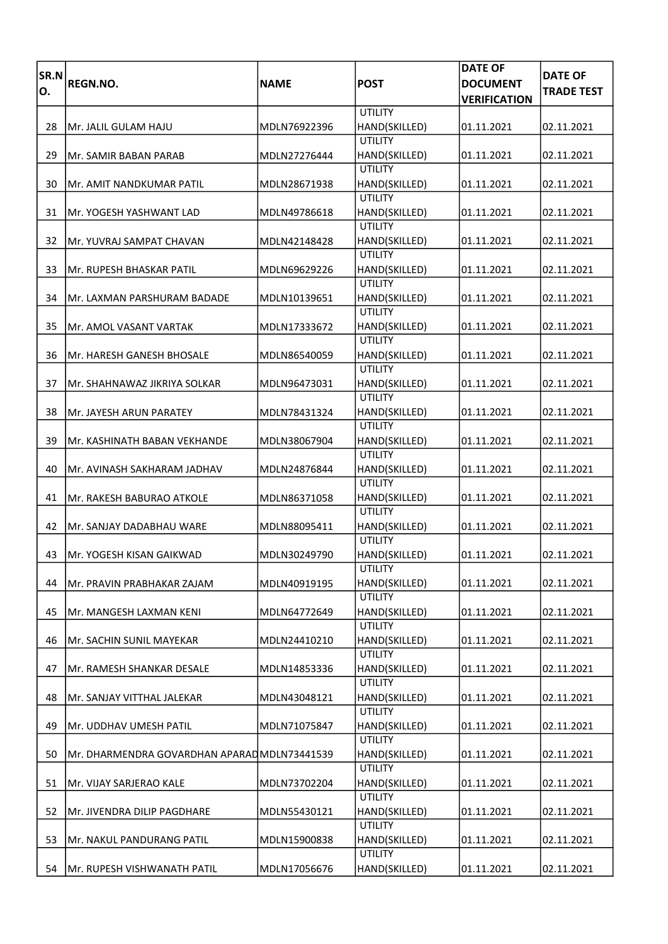| SR.N<br>O. | <b>REGN.NO.</b>                              | <b>NAME</b>  | <b>POST</b>                                       | <b>DATE OF</b><br><b>DOCUMENT</b><br><b>VERIFICATION</b> | <b>DATE OF</b><br><b>TRADE TEST</b> |
|------------|----------------------------------------------|--------------|---------------------------------------------------|----------------------------------------------------------|-------------------------------------|
|            |                                              |              | <b>UTILITY</b>                                    |                                                          |                                     |
| 28         | Mr. JALIL GULAM HAJU                         | MDLN76922396 | HAND(SKILLED)                                     | 01.11.2021                                               | 02.11.2021                          |
| 29         | Mr. SAMIR BABAN PARAB                        | MDLN27276444 | <b>UTILITY</b><br>HAND(SKILLED)                   | 01.11.2021                                               | 02.11.2021                          |
| 30         | lMr. AMIT NANDKUMAR PATIL                    | MDLN28671938 | <b>UTILITY</b><br>HAND(SKILLED)                   | 01.11.2021                                               | 02.11.2021                          |
| 31         | lMr. YOGESH YASHWANT LAD                     | MDLN49786618 | <b>UTILITY</b><br>HAND(SKILLED)                   | 01.11.2021                                               | 02.11.2021                          |
| 32         | Mr. YUVRAJ SAMPAT CHAVAN                     | MDLN42148428 | <b>UTILITY</b><br>HAND(SKILLED)<br><b>UTILITY</b> | 01.11.2021                                               | 02.11.2021                          |
| 33         | Mr. RUPESH BHASKAR PATIL                     | MDLN69629226 | HAND(SKILLED)<br><b>UTILITY</b>                   | 01.11.2021                                               | 02.11.2021                          |
| 34         | Mr. LAXMAN PARSHURAM BADADE                  | MDLN10139651 | HAND(SKILLED)<br><b>UTILITY</b>                   | 01.11.2021                                               | 02.11.2021                          |
| 35         | Mr. AMOL VASANT VARTAK                       | MDLN17333672 | HAND(SKILLED)<br><b>UTILITY</b>                   | 01.11.2021                                               | 02.11.2021                          |
| 36         | Mr. HARESH GANESH BHOSALE                    | MDLN86540059 | HAND(SKILLED)<br><b>UTILITY</b>                   | 01.11.2021                                               | 02.11.2021                          |
| 37         | Mr. SHAHNAWAZ JIKRIYA SOLKAR                 | MDLN96473031 | HAND(SKILLED)<br><b>UTILITY</b>                   | 01.11.2021                                               | 02.11.2021                          |
| 38         | Mr. JAYESH ARUN PARATEY                      | MDLN78431324 | HAND(SKILLED)<br><b>UTILITY</b>                   | 01.11.2021                                               | 02.11.2021                          |
| 39         | Mr. KASHINATH BABAN VEKHANDE                 | MDLN38067904 | HAND(SKILLED)<br><b>UTILITY</b>                   | 01.11.2021                                               | 02.11.2021                          |
| 40         | Mr. AVINASH SAKHARAM JADHAV                  | MDLN24876844 | HAND(SKILLED)<br><b>UTILITY</b>                   | 01.11.2021                                               | 02.11.2021                          |
| 41         | Mr. RAKESH BABURAO ATKOLE                    | MDLN86371058 | HAND(SKILLED)<br><b>UTILITY</b>                   | 01.11.2021                                               | 02.11.2021                          |
| 42         | Mr. SANJAY DADABHAU WARE                     | MDLN88095411 | HAND(SKILLED)<br><b>UTILITY</b>                   | 01.11.2021                                               | 02.11.2021                          |
| 43         | JMr. YOGESH KISAN GAIKWAD                    | MDLN30249790 | HAND(SKILLED)<br><b>UTILITY</b>                   | 01.11.2021                                               | 02.11.2021                          |
| 44         | Mr. PRAVIN PRABHAKAR ZAJAM                   | MDLN40919195 | HAND(SKILLED)<br><b>UTILITY</b>                   | 01.11.2021                                               | 02.11.2021                          |
| 45         | lMr. MANGESH LAXMAN KENI                     | MDLN64772649 | HAND(SKILLED)<br><b>UTILITY</b>                   | 01.11.2021                                               | 02.11.2021                          |
| 46         | Mr. SACHIN SUNIL MAYEKAR                     | MDLN24410210 | HAND(SKILLED)<br><b>UTILITY</b>                   | 01.11.2021                                               | 02.11.2021                          |
| 47         | lMr. RAMESH SHANKAR DESALE                   | MDLN14853336 | HAND(SKILLED)<br><b>UTILITY</b>                   | 01.11.2021                                               | 02.11.2021                          |
| 48         | lMr. SANJAY VITTHAL JALEKAR                  | MDLN43048121 | HAND(SKILLED)<br><b>UTILITY</b>                   | 01.11.2021                                               | 02.11.2021                          |
| 49         | Mr. UDDHAV UMESH PATIL                       | MDLN71075847 | HAND(SKILLED)<br><b>UTILITY</b>                   | 01.11.2021                                               | 02.11.2021                          |
| 50         | Mr. DHARMENDRA GOVARDHAN APARAD MDLN73441539 |              | HAND(SKILLED)<br><b>UTILITY</b>                   | 01.11.2021                                               | 02.11.2021                          |
| 51         | Mr. VIJAY SARJERAO KALE                      | MDLN73702204 | HAND(SKILLED)<br><b>UTILITY</b>                   | 01.11.2021                                               | 02.11.2021                          |
| 52         | Mr. JIVENDRA DILIP PAGDHARE                  | MDLN55430121 | HAND(SKILLED)<br><b>UTILITY</b>                   | 01.11.2021                                               | 02.11.2021                          |
| 53         | Mr. NAKUL PANDURANG PATIL                    | MDLN15900838 | HAND(SKILLED)<br><b>UTILITY</b>                   | 01.11.2021                                               | 02.11.2021                          |
| 54         | Mr. RUPESH VISHWANATH PATIL                  | MDLN17056676 | HAND(SKILLED)                                     | 01.11.2021                                               | 02.11.2021                          |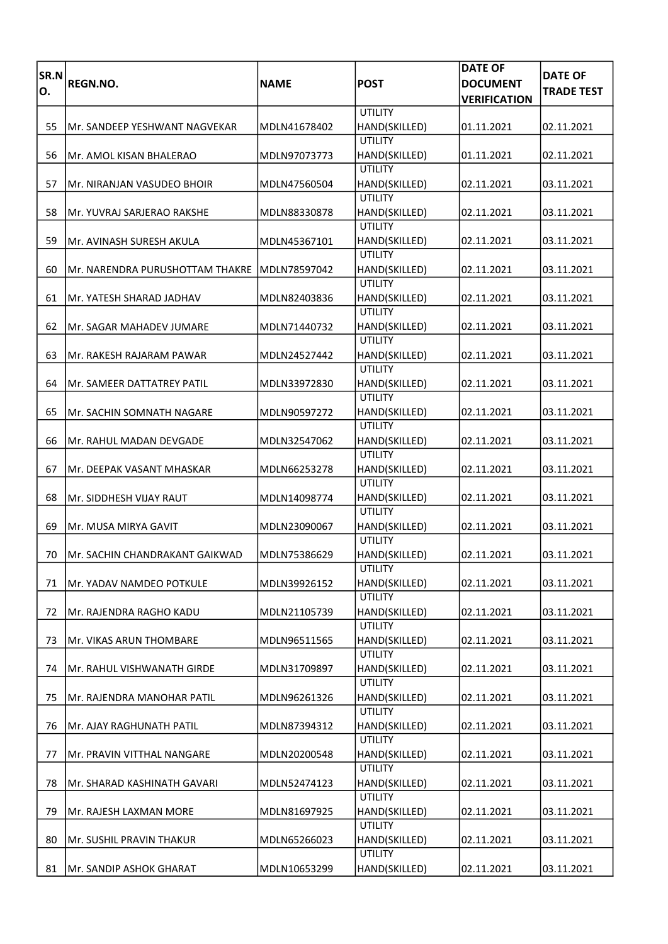| SR.N<br>O. | <b>REGN.NO.</b>                 | <b>NAME</b>  | <b>POST</b>                                       | <b>DATE OF</b><br><b>DOCUMENT</b><br><b>VERIFICATION</b> | <b>DATE OF</b><br><b>TRADE TEST</b> |
|------------|---------------------------------|--------------|---------------------------------------------------|----------------------------------------------------------|-------------------------------------|
|            |                                 |              | <b>UTILITY</b>                                    |                                                          |                                     |
| 55         | Mr. SANDEEP YESHWANT NAGVEKAR   | MDLN41678402 | HAND(SKILLED)                                     | 01.11.2021                                               | 02.11.2021                          |
| 56         | Mr. AMOL KISAN BHALERAO         | MDLN97073773 | <b>UTILITY</b><br>HAND(SKILLED)                   | 01.11.2021                                               | 02.11.2021                          |
| 57         | Mr. NIRANJAN VASUDEO BHOIR      | MDLN47560504 | <b>UTILITY</b><br>HAND(SKILLED)                   | 02.11.2021                                               | 03.11.2021                          |
| 58         | Mr. YUVRAJ SARJERAO RAKSHE      | MDLN88330878 | <b>UTILITY</b><br>HAND(SKILLED)                   | 02.11.2021                                               | 03.11.2021                          |
| 59         | Mr. AVINASH SURESH AKULA        | MDLN45367101 | <b>UTILITY</b><br>HAND(SKILLED)                   | 02.11.2021                                               | 03.11.2021                          |
| 60         | Mr. NARENDRA PURUSHOTTAM THAKRE | MDLN78597042 | <b>UTILITY</b><br>HAND(SKILLED)                   | 02.11.2021                                               | 03.11.2021                          |
| 61         | Mr. YATESH SHARAD JADHAV        | MDLN82403836 | <b>UTILITY</b><br>HAND(SKILLED)                   | 02.11.2021                                               | 03.11.2021                          |
| 62         | Mr. SAGAR MAHADEV JUMARE        | MDLN71440732 | <b>UTILITY</b><br>HAND(SKILLED)                   | 02.11.2021                                               | 03.11.2021                          |
| 63         | lMr. RAKESH RAJARAM PAWAR       | MDLN24527442 | <b>UTILITY</b><br>HAND(SKILLED)                   | 02.11.2021                                               | 03.11.2021                          |
| 64         | Mr. SAMEER DATTATREY PATIL      | MDLN33972830 | <b>UTILITY</b><br>HAND(SKILLED)                   | 02.11.2021                                               | 03.11.2021                          |
| 65         | Mr. SACHIN SOMNATH NAGARE       | MDLN90597272 | <b>UTILITY</b><br>HAND(SKILLED)                   | 02.11.2021                                               | 03.11.2021                          |
| 66         | Mr. RAHUL MADAN DEVGADE         | MDLN32547062 | <b>UTILITY</b><br>HAND(SKILLED)<br><b>UTILITY</b> | 02.11.2021                                               | 03.11.2021                          |
| 67         | Mr. DEEPAK VASANT MHASKAR       | MDLN66253278 | HAND(SKILLED)<br><b>UTILITY</b>                   | 02.11.2021                                               | 03.11.2021                          |
| 68         | Mr. SIDDHESH VIJAY RAUT         | MDLN14098774 | HAND(SKILLED)<br><b>UTILITY</b>                   | 02.11.2021                                               | 03.11.2021                          |
| 69         | Mr. MUSA MIRYA GAVIT            | MDLN23090067 | HAND(SKILLED)<br><b>UTILITY</b>                   | 02.11.2021                                               | 03.11.2021                          |
| 70         | IMr. SACHIN CHANDRAKANT GAIKWAD | MDLN75386629 | HAND(SKILLED)<br><b>UTILITY</b>                   | 02.11.2021                                               | 03.11.2021                          |
| 71         | Mr. YADAV NAMDEO POTKULE        | MDLN39926152 | HAND(SKILLED)<br><b>UTILITY</b>                   | 02.11.2021                                               | 03.11.2021                          |
| 72         | Mr. RAJENDRA RAGHO KADU         | MDLN21105739 | HAND(SKILLED)<br><b>UTILITY</b>                   | 02.11.2021                                               | 03.11.2021                          |
| 73         | <b>Mr. VIKAS ARUN THOMBARE</b>  | MDLN96511565 | HAND(SKILLED)<br><b>UTILITY</b>                   | 02.11.2021                                               | 03.11.2021                          |
| 74         | Mr. RAHUL VISHWANATH GIRDE      | MDLN31709897 | HAND(SKILLED)<br><b>UTILITY</b>                   | 02.11.2021                                               | 03.11.2021                          |
| 75         | lMr. RAJENDRA MANOHAR PATIL     | MDLN96261326 | HAND(SKILLED)<br><b>UTILITY</b>                   | 02.11.2021                                               | 03.11.2021                          |
| 76         | Mr. AJAY RAGHUNATH PATIL        | MDLN87394312 | HAND(SKILLED)<br><b>UTILITY</b>                   | 02.11.2021                                               | 03.11.2021                          |
| 77         | Mr. PRAVIN VITTHAL NANGARE      | MDLN20200548 | HAND(SKILLED)<br><b>UTILITY</b>                   | 02.11.2021                                               | 03.11.2021                          |
| 78         | Mr. SHARAD KASHINATH GAVARI     | MDLN52474123 | HAND(SKILLED)<br><b>UTILITY</b>                   | 02.11.2021                                               | 03.11.2021                          |
| 79         | Mr. RAJESH LAXMAN MORE          | MDLN81697925 | HAND(SKILLED)<br><b>UTILITY</b>                   | 02.11.2021                                               | 03.11.2021                          |
| 80         | Mr. SUSHIL PRAVIN THAKUR        | MDLN65266023 | HAND(SKILLED)<br><b>UTILITY</b>                   | 02.11.2021                                               | 03.11.2021                          |
| 81         | Mr. SANDIP ASHOK GHARAT         | MDLN10653299 | HAND(SKILLED)                                     | 02.11.2021                                               | 03.11.2021                          |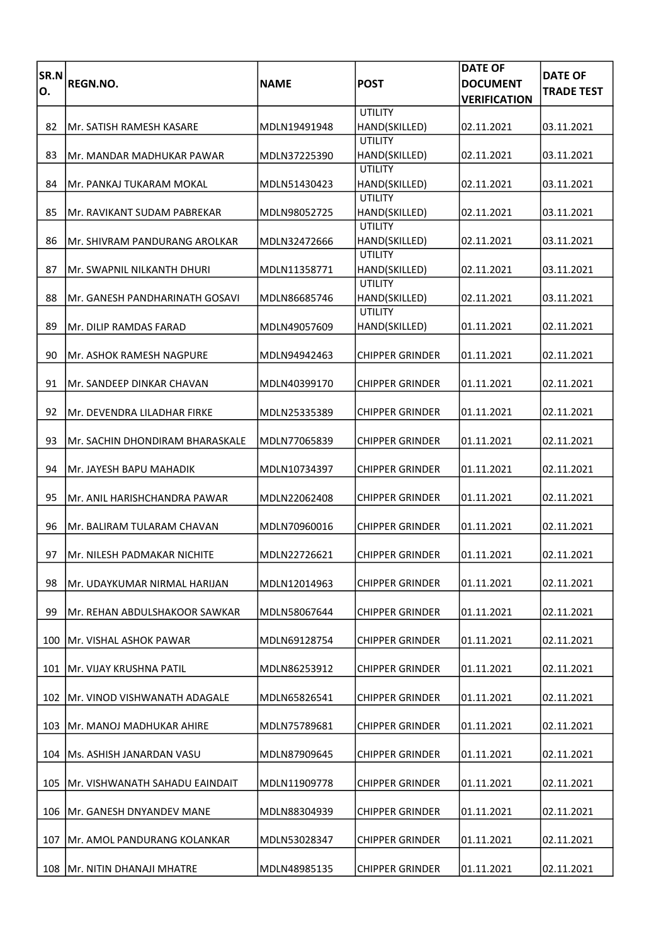| SR.N<br>O. | <b>REGN.NO.</b>                 | <b>NAME</b>  | <b>POST</b>                     | <b>DATE OF</b><br><b>DOCUMENT</b><br><b>VERIFICATION</b> | <b>DATE OF</b><br><b>TRADE TEST</b> |
|------------|---------------------------------|--------------|---------------------------------|----------------------------------------------------------|-------------------------------------|
|            |                                 |              | <b>UTILITY</b>                  |                                                          |                                     |
| 82         | Mr. SATISH RAMESH KASARE        | MDLN19491948 | HAND(SKILLED)                   | 02.11.2021                                               | 03.11.2021                          |
| 83         | Mr. MANDAR MADHUKAR PAWAR       | MDLN37225390 | <b>UTILITY</b><br>HAND(SKILLED) | 02.11.2021                                               | 03.11.2021                          |
| 84         | lMr. PANKAJ TUKARAM MOKAL       | MDLN51430423 | <b>UTILITY</b><br>HAND(SKILLED) | 02.11.2021                                               | 03.11.2021                          |
| 85         | Mr. RAVIKANT SUDAM PABREKAR     | MDLN98052725 | <b>UTILITY</b><br>HAND(SKILLED) | 02.11.2021                                               | 03.11.2021                          |
| 86         | Mr. SHIVRAM PANDURANG AROLKAR   | MDLN32472666 | <b>UTILITY</b><br>HAND(SKILLED) | 02.11.2021                                               | 03.11.2021                          |
| 87         | Mr. SWAPNIL NILKANTH DHURI      | MDLN11358771 | <b>UTILITY</b><br>HAND(SKILLED) | 02.11.2021                                               | 03.11.2021                          |
| 88         | Mr. GANESH PANDHARINATH GOSAVI  | MDLN86685746 | <b>UTILITY</b><br>HAND(SKILLED) | 02.11.2021                                               | 03.11.2021                          |
| 89         | Mr. DILIP RAMDAS FARAD          | MDLN49057609 | <b>UTILITY</b><br>HAND(SKILLED) | 01.11.2021                                               | 02.11.2021                          |
| 90         | lMr. ASHOK RAMESH NAGPURE       | MDLN94942463 | <b>CHIPPER GRINDER</b>          | 01.11.2021                                               | 02.11.2021                          |
| 91         | Mr. SANDEEP DINKAR CHAVAN       | MDLN40399170 | <b>CHIPPER GRINDER</b>          | 01.11.2021                                               | 02.11.2021                          |
| 92         | Mr. DEVENDRA LILADHAR FIRKE     | MDLN25335389 | <b>CHIPPER GRINDER</b>          | 01.11.2021                                               | 02.11.2021                          |
| 93         | Mr. SACHIN DHONDIRAM BHARASKALE | MDLN77065839 | <b>CHIPPER GRINDER</b>          | 01.11.2021                                               | 02.11.2021                          |
| 94         | Mr. JAYESH BAPU MAHADIK         | MDLN10734397 | <b>CHIPPER GRINDER</b>          | 01.11.2021                                               | 02.11.2021                          |
| 95         | Mr. ANIL HARISHCHANDRA PAWAR    | MDLN22062408 | <b>CHIPPER GRINDER</b>          | 01.11.2021                                               | 02.11.2021                          |
| 96         | Mr. BALIRAM TULARAM CHAVAN      | MDLN70960016 | <b>CHIPPER GRINDER</b>          | 01.11.2021                                               | 02.11.2021                          |
| 97         | JMr. NILESH PADMAKAR NICHITE    | MDLN22726621 | <b>CHIPPER GRINDER</b>          | 01.11.2021                                               | 02.11.2021                          |
| 98         | Mr. UDAYKUMAR NIRMAL HARIJAN    | MDLN12014963 | <b>CHIPPER GRINDER</b>          | 01.11.2021                                               | 02.11.2021                          |
| 99         | Mr. REHAN ABDULSHAKOOR SAWKAR   | MDLN58067644 | <b>CHIPPER GRINDER</b>          | 01.11.2021                                               | 02.11.2021                          |
| 100        | Mr. VISHAL ASHOK PAWAR          | MDLN69128754 | <b>CHIPPER GRINDER</b>          | 01.11.2021                                               | 02.11.2021                          |
|            | 101   Mr. VIJAY KRUSHNA PATIL   | MDLN86253912 | <b>CHIPPER GRINDER</b>          | 01.11.2021                                               | 02.11.2021                          |
| 102        | Mr. VINOD VISHWANATH ADAGALE    | MDLN65826541 | <b>CHIPPER GRINDER</b>          | 01.11.2021                                               | 02.11.2021                          |
| 103        | Mr. MANOJ MADHUKAR AHIRE        | MDLN75789681 | <b>CHIPPER GRINDER</b>          | 01.11.2021                                               | 02.11.2021                          |
| 104        | IMs. ASHISH JANARDAN VASU       | MDLN87909645 | <b>CHIPPER GRINDER</b>          | 01.11.2021                                               | 02.11.2021                          |
| 105        | Mr. VISHWANATH SAHADU EAINDAIT  | MDLN11909778 | <b>CHIPPER GRINDER</b>          | 01.11.2021                                               | 02.11.2021                          |
| 106        | Mr. GANESH DNYANDEV MANE        | MDLN88304939 | <b>CHIPPER GRINDER</b>          | 01.11.2021                                               | 02.11.2021                          |
| 107        | Mr. AMOL PANDURANG KOLANKAR     | MDLN53028347 | <b>CHIPPER GRINDER</b>          | 01.11.2021                                               | 02.11.2021                          |
|            | 108   Mr. NITIN DHANAJI MHATRE  | MDLN48985135 | <b>CHIPPER GRINDER</b>          | 01.11.2021                                               | 02.11.2021                          |